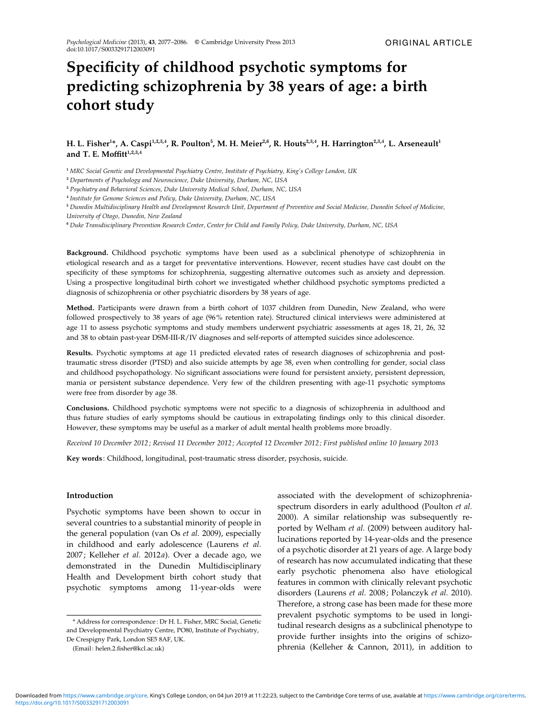# Specificity of childhood psychotic symptoms for predicting schizophrenia by 38 years of age: a birth cohort study

## H. L. Fisher $^{1*}$ , A. Caspi $^{1,2,3,4}$ , R. Poulton $^5$ , M. H. Meier $^{2,6}$ , R. Houts $^{2,3,4}$ , H. Harrington $^{2,3,4}$ , L. Arseneault $^1$ and T. F. Moffitt $1,2,3,4$

<sup>1</sup> MRC Social Genetic and Developmental Psychiatry Centre, Institute of Psychiatry, King's College London, UK

<sup>2</sup> Departments of Psychology and Neuroscience, Duke University, Durham, NC, USA

<sup>3</sup> Psychiatry and Behavioral Sciences, Duke University Medical School, Durham, NC, USA

<sup>4</sup> Institute for Genome Sciences and Policy, Duke University, Durham, NC, USA

<sup>5</sup> Dunedin Multidisciplinary Health and Development Research Unit, Department of Preventive and Social Medicine, Dunedin School of Medicine, University of Otago, Dunedin, New Zealand

<sup>6</sup> Duke Transdisciplinary Prevention Research Center, Center for Child and Family Policy, Duke University, Durham, NC, USA

Background. Childhood psychotic symptoms have been used as a subclinical phenotype of schizophrenia in etiological research and as a target for preventative interventions. However, recent studies have cast doubt on the specificity of these symptoms for schizophrenia, suggesting alternative outcomes such as anxiety and depression. Using a prospective longitudinal birth cohort we investigated whether childhood psychotic symptoms predicted a diagnosis of schizophrenia or other psychiatric disorders by 38 years of age.

Method. Participants were drawn from a birth cohort of 1037 children from Dunedin, New Zealand, who were followed prospectively to 38 years of age (96% retention rate). Structured clinical interviews were administered at age 11 to assess psychotic symptoms and study members underwent psychiatric assessments at ages 18, 21, 26, 32 and 38 to obtain past-year DSM-III-R/IV diagnoses and self-reports of attempted suicides since adolescence.

Results. Psychotic symptoms at age 11 predicted elevated rates of research diagnoses of schizophrenia and posttraumatic stress disorder (PTSD) and also suicide attempts by age 38, even when controlling for gender, social class and childhood psychopathology. No significant associations were found for persistent anxiety, persistent depression, mania or persistent substance dependence. Very few of the children presenting with age-11 psychotic symptoms were free from disorder by age 38.

Conclusions. Childhood psychotic symptoms were not specific to a diagnosis of schizophrenia in adulthood and thus future studies of early symptoms should be cautious in extrapolating findings only to this clinical disorder. However, these symptoms may be useful as a marker of adult mental health problems more broadly.

Received 10 December 2012 ; Revised 11 December 2012; Accepted 12 December 2012 ; First published online 10 January 2013

Key words : Childhood, longitudinal, post-traumatic stress disorder, psychosis, suicide.

#### Introduction

Psychotic symptoms have been shown to occur in several countries to a substantial minority of people in the general population (van Os et al. 2009), especially in childhood and early adolescence (Laurens et al. 2007; Kelleher et al. 2012a). Over a decade ago, we demonstrated in the Dunedin Multidisciplinary Health and Development birth cohort study that psychotic symptoms among 11-year-olds were

associated with the development of schizophreniaspectrum disorders in early adulthood (Poulton et al. 2000). A similar relationship was subsequently reported by Welham et al. (2009) between auditory hallucinations reported by 14-year-olds and the presence of a psychotic disorder at 21 years of age. A large body of research has now accumulated indicating that these early psychotic phenomena also have etiological features in common with clinically relevant psychotic disorders (Laurens et al. 2008; Polanczyk et al. 2010). Therefore, a strong case has been made for these more prevalent psychotic symptoms to be used in longitudinal research designs as a subclinical phenotype to provide further insights into the origins of schizophrenia (Kelleher & Cannon, 2011), in addition to

<sup>\*</sup> Address for correspondence : Dr H. L. Fisher, MRC Social, Genetic and Developmental Psychiatry Centre, PO80, Institute of Psychiatry, De Crespigny Park, London SE5 8AF, UK.

<sup>(</sup>Email : helen.2.fisher@kcl.ac.uk)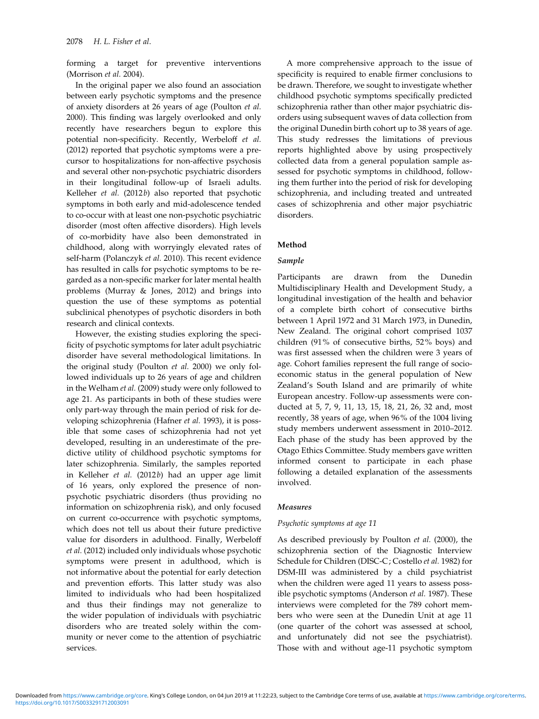forming a target for preventive interventions (Morrison et al. 2004).

In the original paper we also found an association between early psychotic symptoms and the presence of anxiety disorders at 26 years of age (Poulton et al. 2000). This finding was largely overlooked and only recently have researchers begun to explore this potential non-specificity. Recently, Werbeloff et al. (2012) reported that psychotic symptoms were a precursor to hospitalizations for non-affective psychosis and several other non-psychotic psychiatric disorders in their longitudinal follow-up of Israeli adults. Kelleher et al. (2012b) also reported that psychotic symptoms in both early and mid-adolescence tended to co-occur with at least one non-psychotic psychiatric disorder (most often affective disorders). High levels of co-morbidity have also been demonstrated in childhood, along with worryingly elevated rates of self-harm (Polanczyk et al. 2010). This recent evidence has resulted in calls for psychotic symptoms to be regarded as a non-specific marker for later mental health problems (Murray & Jones, 2012) and brings into question the use of these symptoms as potential subclinical phenotypes of psychotic disorders in both research and clinical contexts.

However, the existing studies exploring the specificity of psychotic symptoms for later adult psychiatric disorder have several methodological limitations. In the original study (Poulton et al. 2000) we only followed individuals up to 26 years of age and children in the Welham et al. (2009) study were only followed to age 21. As participants in both of these studies were only part-way through the main period of risk for developing schizophrenia (Hafner et al. 1993), it is possible that some cases of schizophrenia had not yet developed, resulting in an underestimate of the predictive utility of childhood psychotic symptoms for later schizophrenia. Similarly, the samples reported in Kelleher et al. (2012b) had an upper age limit of 16 years, only explored the presence of nonpsychotic psychiatric disorders (thus providing no information on schizophrenia risk), and only focused on current co-occurrence with psychotic symptoms, which does not tell us about their future predictive value for disorders in adulthood. Finally, Werbeloff et al. (2012) included only individuals whose psychotic symptoms were present in adulthood, which is not informative about the potential for early detection and prevention efforts. This latter study was also limited to individuals who had been hospitalized and thus their findings may not generalize to the wider population of individuals with psychiatric disorders who are treated solely within the community or never come to the attention of psychiatric services.

A more comprehensive approach to the issue of specificity is required to enable firmer conclusions to be drawn. Therefore, we sought to investigate whether childhood psychotic symptoms specifically predicted schizophrenia rather than other major psychiatric disorders using subsequent waves of data collection from the original Dunedin birth cohort up to 38 years of age. This study redresses the limitations of previous reports highlighted above by using prospectively collected data from a general population sample assessed for psychotic symptoms in childhood, following them further into the period of risk for developing schizophrenia, and including treated and untreated cases of schizophrenia and other major psychiatric disorders.

# Method

## Sample

Participants are drawn from the Dunedin Multidisciplinary Health and Development Study, a longitudinal investigation of the health and behavior of a complete birth cohort of consecutive births between 1 April 1972 and 31 March 1973, in Dunedin, New Zealand. The original cohort comprised 1037 children (91% of consecutive births, 52% boys) and was first assessed when the children were 3 years of age. Cohort families represent the full range of socioeconomic status in the general population of New Zealand's South Island and are primarily of white European ancestry. Follow-up assessments were conducted at 5, 7, 9, 11, 13, 15, 18, 21, 26, 32 and, most recently, 38 years of age, when 96% of the 1004 living study members underwent assessment in 2010–2012. Each phase of the study has been approved by the Otago Ethics Committee. Study members gave written informed consent to participate in each phase following a detailed explanation of the assessments involved.

#### Measures

#### Psychotic symptoms at age 11

As described previously by Poulton et al. (2000), the schizophrenia section of the Diagnostic Interview Schedule for Children (DISC-C; Costello et al. 1982) for DSM-III was administered by a child psychiatrist when the children were aged 11 years to assess possible psychotic symptoms (Anderson et al. 1987). These interviews were completed for the 789 cohort members who were seen at the Dunedin Unit at age 11 (one quarter of the cohort was assessed at school, and unfortunately did not see the psychiatrist). Those with and without age-11 psychotic symptom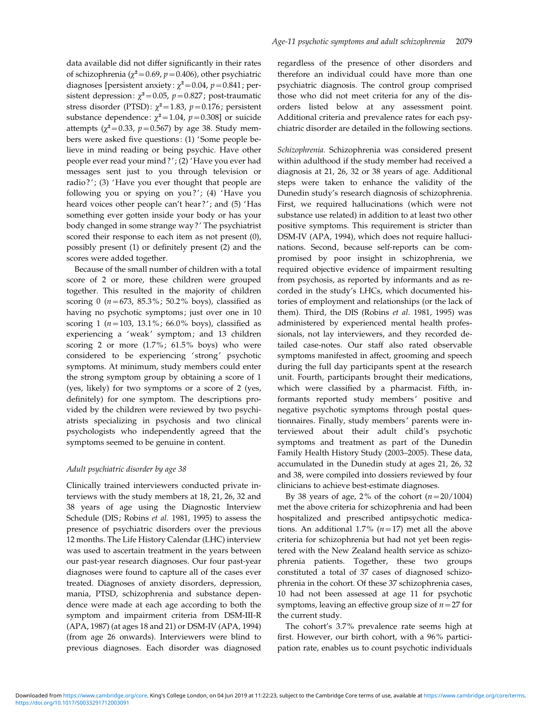data available did not differ significantly in their rates of schizophrenia ( $\chi^2$ =0.69, p=0.406), other psychiatric diagnoses [persistent anxiety:  $\chi^2$  = 0.04,  $p$  = 0.841; persistent depression:  $\chi^2$ =0.05,  $p$ =0.827; post-traumatic stress disorder (PTSD):  $\chi^2$  = 1.83,  $p$  = 0.176; persistent substance dependence:  $\chi^2$  = 1.04,  $p$  = 0.308] or suicide attempts ( $\chi^2$ =0.33, p=0.567) by age 38. Study members were asked five questions: (1) ' Some people believe in mind reading or being psychic. Have other people ever read your mind ?'; (2) 'Have you ever had messages sent just to you through television or radio ?'; (3) 'Have you ever thought that people are following you or spying on you?'; (4) 'Have you heard voices other people can't hear?'; and (5) 'Has something ever gotten inside your body or has your body changed in some strange way ?' The psychiatrist scored their response to each item as not present  $(0)$ , possibly present (1) or definitely present (2) and the scores were added together.

Because of the small number of children with a total score of 2 or more, these children were grouped together. This resulted in the majority of children scoring 0 ( $n = 673$ , 85.3%; 50.2% boys), classified as having no psychotic symptoms; just over one in 10 scoring 1 ( $n=103$ , 13.1%; 66.0% boys), classified as experiencing a 'weak' symptom; and 13 children scoring 2 or more  $(1.7\%; 61.5\%$  boys) who were considered to be experiencing ' strong' psychotic symptoms. At minimum, study members could enter the strong symptom group by obtaining a score of 1 (yes, likely) for two symptoms or a score of 2 (yes, definitely) for one symptom. The descriptions provided by the children were reviewed by two psychiatrists specializing in psychosis and two clinical psychologists who independently agreed that the symptoms seemed to be genuine in content.

#### Adult psychiatric disorder by age 38

Clinically trained interviewers conducted private interviews with the study members at 18, 21, 26, 32 and 38 years of age using the Diagnostic Interview Schedule (DIS; Robins et al. 1981, 1995) to assess the presence of psychiatric disorders over the previous 12 months. The Life History Calendar (LHC) interview was used to ascertain treatment in the years between our past-year research diagnoses. Our four past-year diagnoses were found to capture all of the cases ever treated. Diagnoses of anxiety disorders, depression, mania, PTSD, schizophrenia and substance dependence were made at each age according to both the symptom and impairment criteria from DSM-III-R (APA, 1987) (at ages 18 and 21) or DSM-IV (APA, 1994) (from age 26 onwards). Interviewers were blind to previous diagnoses. Each disorder was diagnosed

regardless of the presence of other disorders and therefore an individual could have more than one psychiatric diagnosis. The control group comprised those who did not meet criteria for any of the disorders listed below at any assessment point. Additional criteria and prevalence rates for each psychiatric disorder are detailed in the following sections.

Schizophrenia. Schizophrenia was considered present within adulthood if the study member had received a diagnosis at 21, 26, 32 or 38 years of age. Additional steps were taken to enhance the validity of the Dunedin study's research diagnosis of schizophrenia. First, we required hallucinations (which were not substance use related) in addition to at least two other positive symptoms. This requirement is stricter than DSM-IV (APA, 1994), which does not require hallucinations. Second, because self-reports can be compromised by poor insight in schizophrenia, we required objective evidence of impairment resulting from psychosis, as reported by informants and as recorded in the study's LHCs, which documented histories of employment and relationships (or the lack of them). Third, the DIS (Robins et al. 1981, 1995) was administered by experienced mental health professionals, not lay interviewers, and they recorded detailed case-notes. Our staff also rated observable symptoms manifested in affect, grooming and speech during the full day participants spent at the research unit. Fourth, participants brought their medications, which were classified by a pharmacist. Fifth, informants reported study members' positive and negative psychotic symptoms through postal questionnaires. Finally, study members' parents were interviewed about their adult child's psychotic symptoms and treatment as part of the Dunedin Family Health History Study (2003–2005). These data, accumulated in the Dunedin study at ages 21, 26, 32 and 38, were compiled into dossiers reviewed by four clinicians to achieve best-estimate diagnoses.

By 38 years of age, 2% of the cohort  $(n=20/1004)$ met the above criteria for schizophrenia and had been hospitalized and prescribed antipsychotic medications. An additional 1.7%  $(n=17)$  met all the above criteria for schizophrenia but had not yet been registered with the New Zealand health service as schizophrenia patients. Together, these two groups constituted a total of 37 cases of diagnosed schizophrenia in the cohort. Of these 37 schizophrenia cases, 10 had not been assessed at age 11 for psychotic symptoms, leaving an effective group size of  $n=27$  for the current study.

The cohort's 3.7% prevalence rate seems high at first. However, our birth cohort, with a 96% participation rate, enables us to count psychotic individuals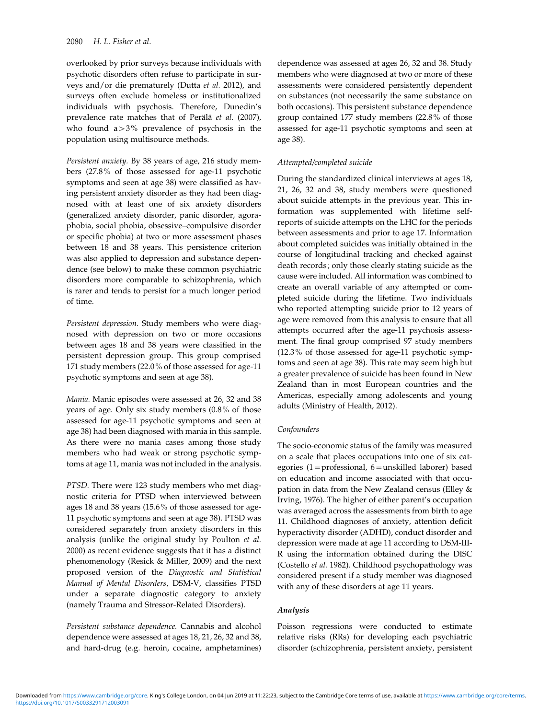overlooked by prior surveys because individuals with psychotic disorders often refuse to participate in surveys and/or die prematurely (Dutta et al. 2012), and surveys often exclude homeless or institutionalized individuals with psychosis. Therefore, Dunedin's prevalence rate matches that of Perälä et al. (2007), who found  $a > 3\%$  prevalence of psychosis in the population using multisource methods.

Persistent anxiety. By 38 years of age, 216 study members (27.8% of those assessed for age-11 psychotic symptoms and seen at age 38) were classified as having persistent anxiety disorder as they had been diagnosed with at least one of six anxiety disorders (generalized anxiety disorder, panic disorder, agoraphobia, social phobia, obsessive–compulsive disorder or specific phobia) at two or more assessment phases between 18 and 38 years. This persistence criterion was also applied to depression and substance dependence (see below) to make these common psychiatric disorders more comparable to schizophrenia, which is rarer and tends to persist for a much longer period of time.

Persistent depression. Study members who were diagnosed with depression on two or more occasions between ages 18 and 38 years were classified in the persistent depression group. This group comprised 171 study members (22.0% of those assessed for age-11 psychotic symptoms and seen at age 38).

Mania. Manic episodes were assessed at 26, 32 and 38 years of age. Only six study members (0.8% of those assessed for age-11 psychotic symptoms and seen at age 38) had been diagnosed with mania in this sample. As there were no mania cases among those study members who had weak or strong psychotic symptoms at age 11, mania was not included in the analysis.

PTSD. There were 123 study members who met diagnostic criteria for PTSD when interviewed between ages 18 and 38 years (15.6% of those assessed for age-11 psychotic symptoms and seen at age 38). PTSD was considered separately from anxiety disorders in this analysis (unlike the original study by Poulton et al. 2000) as recent evidence suggests that it has a distinct phenomenology (Resick & Miller, 2009) and the next proposed version of the Diagnostic and Statistical Manual of Mental Disorders, DSM-V, classifies PTSD under a separate diagnostic category to anxiety (namely Trauma and Stressor-Related Disorders).

Persistent substance dependence. Cannabis and alcohol dependence were assessed at ages 18, 21, 26, 32 and 38, and hard-drug (e.g. heroin, cocaine, amphetamines) dependence was assessed at ages 26, 32 and 38. Study members who were diagnosed at two or more of these assessments were considered persistently dependent on substances (not necessarily the same substance on both occasions). This persistent substance dependence group contained 177 study members (22.8% of those assessed for age-11 psychotic symptoms and seen at age 38).

#### Attempted/completed suicide

During the standardized clinical interviews at ages 18, 21, 26, 32 and 38, study members were questioned about suicide attempts in the previous year. This information was supplemented with lifetime selfreports of suicide attempts on the LHC for the periods between assessments and prior to age 17. Information about completed suicides was initially obtained in the course of longitudinal tracking and checked against death records; only those clearly stating suicide as the cause were included. All information was combined to create an overall variable of any attempted or completed suicide during the lifetime. Two individuals who reported attempting suicide prior to 12 years of age were removed from this analysis to ensure that all attempts occurred after the age-11 psychosis assessment. The final group comprised 97 study members (12.3% of those assessed for age-11 psychotic symptoms and seen at age 38). This rate may seem high but a greater prevalence of suicide has been found in New Zealand than in most European countries and the Americas, especially among adolescents and young adults (Ministry of Health, 2012).

#### **Confounders**

The socio-economic status of the family was measured on a scale that places occupations into one of six categories (1=professional, 6=unskilled laborer) based on education and income associated with that occupation in data from the New Zealand census (Elley & Irving, 1976). The higher of either parent's occupation was averaged across the assessments from birth to age 11. Childhood diagnoses of anxiety, attention deficit hyperactivity disorder (ADHD), conduct disorder and depression were made at age 11 according to DSM-III-R using the information obtained during the DISC (Costello et al. 1982). Childhood psychopathology was considered present if a study member was diagnosed with any of these disorders at age 11 years.

#### Analysis

Poisson regressions were conducted to estimate relative risks (RRs) for developing each psychiatric disorder (schizophrenia, persistent anxiety, persistent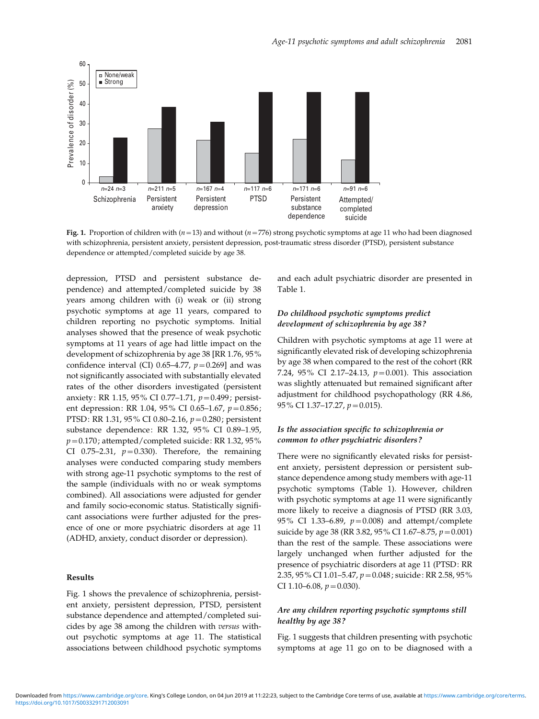

Fig. 1. Proportion of children with ( $n=13$ ) and without ( $n=776$ ) strong psychotic symptoms at age 11 who had been diagnosed with schizophrenia, persistent anxiety, persistent depression, post-traumatic stress disorder (PTSD), persistent substance dependence or attempted/completed suicide by age 38.

depression, PTSD and persistent substance dependence) and attempted/completed suicide by 38 years among children with (i) weak or (ii) strong psychotic symptoms at age 11 years, compared to children reporting no psychotic symptoms. Initial analyses showed that the presence of weak psychotic symptoms at 11 years of age had little impact on the development of schizophrenia by age 38 [RR 1.76, 95% confidence interval (CI) 0.65–4.77,  $p=0.269$ ] and was not significantly associated with substantially elevated rates of the other disorders investigated (persistent anxiety: RR 1.15, 95% CI 0.77–1.71, p=0.499; persistent depression: RR 1.04, 95% CI 0.65-1.67,  $p = 0.856$ ; PTSD: RR 1.31, 95% CI 0.80–2.16,  $p = 0.280$ ; persistent substance dependence: RR 1.32, 95% CI 0.89–1.95,  $p=0.170$ ; attempted/completed suicide: RR 1.32, 95% CI 0.75–2.31,  $p=0.330$ ). Therefore, the remaining analyses were conducted comparing study members with strong age-11 psychotic symptoms to the rest of the sample (individuals with no or weak symptoms combined). All associations were adjusted for gender and family socio-economic status. Statistically significant associations were further adjusted for the presence of one or more psychiatric disorders at age 11 (ADHD, anxiety, conduct disorder or depression).

#### Results

Fig. 1 shows the prevalence of schizophrenia, persistent anxiety, persistent depression, PTSD, persistent substance dependence and attempted/completed suicides by age 38 among the children with versus without psychotic symptoms at age 11. The statistical associations between childhood psychotic symptoms

and each adult psychiatric disorder are presented in Table 1.

# Do childhood psychotic symptoms predict development of schizophrenia by age 38 ?

Children with psychotic symptoms at age 11 were at significantly elevated risk of developing schizophrenia by age 38 when compared to the rest of the cohort (RR 7.24, 95% CI 2.17-24.13,  $p=0.001$ ). This association was slightly attenuated but remained significant after adjustment for childhood psychopathology (RR 4.86, 95% CI 1.37–17.27, p=0.015).

## Is the association specific to schizophrenia or common to other psychiatric disorders ?

There were no significantly elevated risks for persistent anxiety, persistent depression or persistent substance dependence among study members with age-11 psychotic symptoms (Table 1). However, children with psychotic symptoms at age 11 were significantly more likely to receive a diagnosis of PTSD (RR 3.03, 95% CI 1.33–6.89,  $p = 0.008$ ) and attempt/complete suicide by age 38 (RR 3.82, 95% CI 1.67–8.75,  $p = 0.001$ ) than the rest of the sample. These associations were largely unchanged when further adjusted for the presence of psychiatric disorders at age 11 (PTSD: RR 2.35, 95% CI 1.01–5.47, p=0.048; suicide: RR 2.58, 95% CI 1.10–6.08,  $p = 0.030$ ).

## Are any children reporting psychotic symptoms still healthy by age 38 ?

Fig. 1 suggests that children presenting with psychotic symptoms at age 11 go on to be diagnosed with a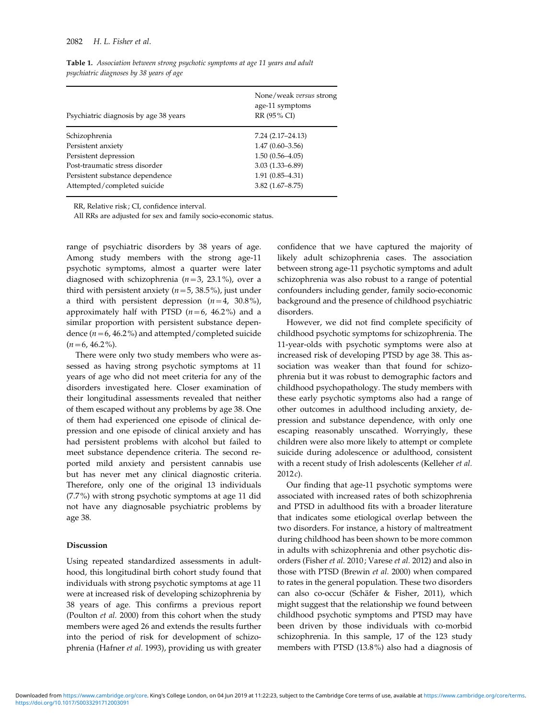| <b>Table 1.</b> Association between strong psychotic symptoms at age 11 years and adult |  |  |  |  |  |
|-----------------------------------------------------------------------------------------|--|--|--|--|--|
| psychiatric diagnoses by 38 years of age                                                |  |  |  |  |  |

| Psychiatric diagnosis by age 38 years | None/weak versus strong<br>age-11 symptoms<br>RR (95% CI) |  |  |  |  |
|---------------------------------------|-----------------------------------------------------------|--|--|--|--|
| Schizophrenia                         | $7.24(2.17-24.13)$                                        |  |  |  |  |
| Persistent anxiety                    | $1.47(0.60 - 3.56)$                                       |  |  |  |  |
| Persistent depression                 | $1.50(0.56 - 4.05)$                                       |  |  |  |  |
| Post-traumatic stress disorder        | $3.03(1.33 - 6.89)$                                       |  |  |  |  |
| Persistent substance dependence       | $1.91(0.85 - 4.31)$                                       |  |  |  |  |
| Attempted/completed suicide           | $3.82(1.67 - 8.75)$                                       |  |  |  |  |

RR, Relative risk ; CI, confidence interval.

All RRs are adjusted for sex and family socio-economic status.

range of psychiatric disorders by 38 years of age. Among study members with the strong age-11 psychotic symptoms, almost a quarter were later diagnosed with schizophrenia ( $n=3$ , 23.1%), over a third with persistent anxiety ( $n=5$ , 38.5%), just under a third with persistent depression  $(n=4, 30.8\%),$ approximately half with PTSD  $(n=6, 46.2\%)$  and a similar proportion with persistent substance dependence ( $n=6$ , 46.2%) and attempted/completed suicide  $(n=6, 46.2\%)$ .

There were only two study members who were assessed as having strong psychotic symptoms at 11 years of age who did not meet criteria for any of the disorders investigated here. Closer examination of their longitudinal assessments revealed that neither of them escaped without any problems by age 38. One of them had experienced one episode of clinical depression and one episode of clinical anxiety and has had persistent problems with alcohol but failed to meet substance dependence criteria. The second reported mild anxiety and persistent cannabis use but has never met any clinical diagnostic criteria. Therefore, only one of the original 13 individuals (7.7%) with strong psychotic symptoms at age 11 did not have any diagnosable psychiatric problems by age 38.

#### Discussion

Using repeated standardized assessments in adulthood, this longitudinal birth cohort study found that individuals with strong psychotic symptoms at age 11 were at increased risk of developing schizophrenia by 38 years of age. This confirms a previous report (Poulton et al. 2000) from this cohort when the study members were aged 26 and extends the results further into the period of risk for development of schizophrenia (Hafner et al. 1993), providing us with greater

confidence that we have captured the majority of likely adult schizophrenia cases. The association between strong age-11 psychotic symptoms and adult schizophrenia was also robust to a range of potential confounders including gender, family socio-economic background and the presence of childhood psychiatric disorders.

However, we did not find complete specificity of childhood psychotic symptoms for schizophrenia. The 11-year-olds with psychotic symptoms were also at increased risk of developing PTSD by age 38. This association was weaker than that found for schizophrenia but it was robust to demographic factors and childhood psychopathology. The study members with these early psychotic symptoms also had a range of other outcomes in adulthood including anxiety, depression and substance dependence, with only one escaping reasonably unscathed. Worryingly, these children were also more likely to attempt or complete suicide during adolescence or adulthood, consistent with a recent study of Irish adolescents (Kelleher et al.  $2012c$ ).

Our finding that age-11 psychotic symptoms were associated with increased rates of both schizophrenia and PTSD in adulthood fits with a broader literature that indicates some etiological overlap between the two disorders. For instance, a history of maltreatment during childhood has been shown to be more common in adults with schizophrenia and other psychotic disorders (Fisher et al. 2010; Varese et al. 2012) and also in those with PTSD (Brewin et al. 2000) when compared to rates in the general population. These two disorders can also co-occur (Schäfer & Fisher, 2011), which might suggest that the relationship we found between childhood psychotic symptoms and PTSD may have been driven by those individuals with co-morbid schizophrenia. In this sample, 17 of the 123 study members with PTSD (13.8%) also had a diagnosis of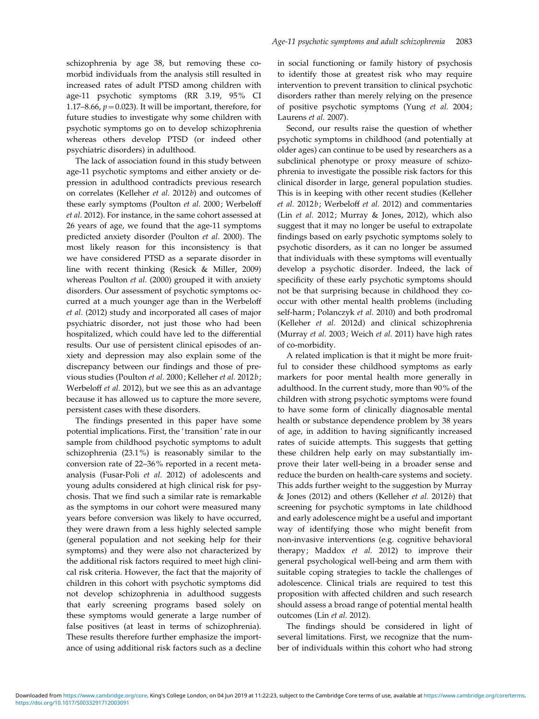schizophrenia by age 38, but removing these comorbid individuals from the analysis still resulted in increased rates of adult PTSD among children with age-11 psychotic symptoms (RR 3.19, 95% CI 1.17–8.66,  $p = 0.023$ ). It will be important, therefore, for future studies to investigate why some children with psychotic symptoms go on to develop schizophrenia whereas others develop PTSD (or indeed other psychiatric disorders) in adulthood.

The lack of association found in this study between age-11 psychotic symptoms and either anxiety or depression in adulthood contradicts previous research on correlates (Kelleher et al. 2012b) and outcomes of these early symptoms (Poulton et al. 2000; Werbeloff et al. 2012). For instance, in the same cohort assessed at 26 years of age, we found that the age-11 symptoms predicted anxiety disorder (Poulton et al. 2000). The most likely reason for this inconsistency is that we have considered PTSD as a separate disorder in line with recent thinking (Resick & Miller, 2009) whereas Poulton et al. (2000) grouped it with anxiety disorders. Our assessment of psychotic symptoms occurred at a much younger age than in the Werbeloff et al. (2012) study and incorporated all cases of major psychiatric disorder, not just those who had been hospitalized, which could have led to the differential results. Our use of persistent clinical episodes of anxiety and depression may also explain some of the discrepancy between our findings and those of previous studies (Poulton et al. 2000; Kelleher et al. 2012b; Werbeloff et al. 2012), but we see this as an advantage because it has allowed us to capture the more severe, persistent cases with these disorders.

The findings presented in this paper have some potential implications. First, the ' transition' rate in our sample from childhood psychotic symptoms to adult schizophrenia (23.1%) is reasonably similar to the conversion rate of 22–36% reported in a recent metaanalysis (Fusar-Poli et al. 2012) of adolescents and young adults considered at high clinical risk for psychosis. That we find such a similar rate is remarkable as the symptoms in our cohort were measured many years before conversion was likely to have occurred, they were drawn from a less highly selected sample (general population and not seeking help for their symptoms) and they were also not characterized by the additional risk factors required to meet high clinical risk criteria. However, the fact that the majority of children in this cohort with psychotic symptoms did not develop schizophrenia in adulthood suggests that early screening programs based solely on these symptoms would generate a large number of false positives (at least in terms of schizophrenia). These results therefore further emphasize the importance of using additional risk factors such as a decline in social functioning or family history of psychosis to identify those at greatest risk who may require intervention to prevent transition to clinical psychotic disorders rather than merely relying on the presence of positive psychotic symptoms (Yung et al. 2004; Laurens et al. 2007).

Second, our results raise the question of whether psychotic symptoms in childhood (and potentially at older ages) can continue to be used by researchers as a subclinical phenotype or proxy measure of schizophrenia to investigate the possible risk factors for this clinical disorder in large, general population studies. This is in keeping with other recent studies (Kelleher et al. 2012b; Werbeloff et al. 2012) and commentaries (Lin et al. 2012; Murray & Jones, 2012), which also suggest that it may no longer be useful to extrapolate findings based on early psychotic symptoms solely to psychotic disorders, as it can no longer be assumed that individuals with these symptoms will eventually develop a psychotic disorder. Indeed, the lack of specificity of these early psychotic symptoms should not be that surprising because in childhood they cooccur with other mental health problems (including self-harm; Polanczyk et al. 2010) and both prodromal (Kelleher et al. 2012d) and clinical schizophrenia (Murray et al. 2003; Weich et al. 2011) have high rates of co-morbidity.

A related implication is that it might be more fruitful to consider these childhood symptoms as early markers for poor mental health more generally in adulthood. In the current study, more than 90% of the children with strong psychotic symptoms were found to have some form of clinically diagnosable mental health or substance dependence problem by 38 years of age, in addition to having significantly increased rates of suicide attempts. This suggests that getting these children help early on may substantially improve their later well-being in a broader sense and reduce the burden on health-care systems and society. This adds further weight to the suggestion by Murray & Jones (2012) and others (Kelleher et al. 2012b) that screening for psychotic symptoms in late childhood and early adolescence might be a useful and important way of identifying those who might benefit from non-invasive interventions (e.g. cognitive behavioral therapy; Maddox et al. 2012) to improve their general psychological well-being and arm them with suitable coping strategies to tackle the challenges of adolescence. Clinical trials are required to test this proposition with affected children and such research should assess a broad range of potential mental health outcomes (Lin et al. 2012).

The findings should be considered in light of several limitations. First, we recognize that the number of individuals within this cohort who had strong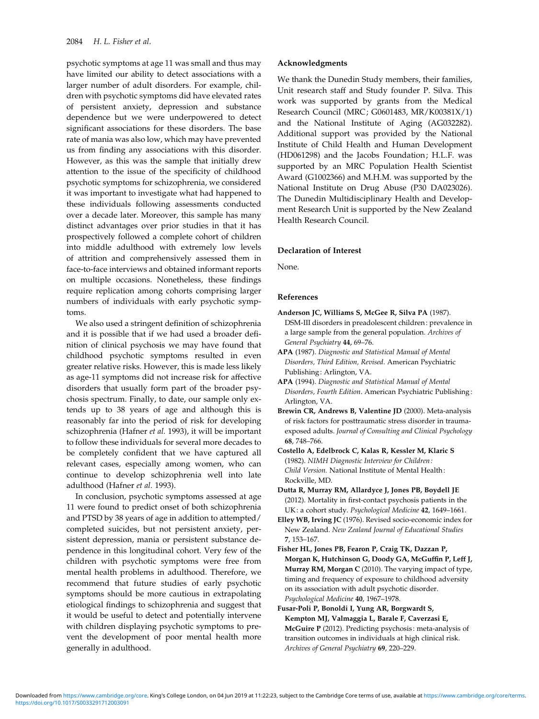psychotic symptoms at age 11 was small and thus may have limited our ability to detect associations with a larger number of adult disorders. For example, children with psychotic symptoms did have elevated rates of persistent anxiety, depression and substance dependence but we were underpowered to detect significant associations for these disorders. The base rate of mania was also low, which may have prevented us from finding any associations with this disorder. However, as this was the sample that initially drew attention to the issue of the specificity of childhood psychotic symptoms for schizophrenia, we considered it was important to investigate what had happened to these individuals following assessments conducted over a decade later. Moreover, this sample has many distinct advantages over prior studies in that it has prospectively followed a complete cohort of children into middle adulthood with extremely low levels of attrition and comprehensively assessed them in face-to-face interviews and obtained informant reports on multiple occasions. Nonetheless, these findings require replication among cohorts comprising larger numbers of individuals with early psychotic symptoms.

We also used a stringent definition of schizophrenia and it is possible that if we had used a broader definition of clinical psychosis we may have found that childhood psychotic symptoms resulted in even greater relative risks. However, this is made less likely as age-11 symptoms did not increase risk for affective disorders that usually form part of the broader psychosis spectrum. Finally, to date, our sample only extends up to 38 years of age and although this is reasonably far into the period of risk for developing schizophrenia (Hafner et al. 1993), it will be important to follow these individuals for several more decades to be completely confident that we have captured all relevant cases, especially among women, who can continue to develop schizophrenia well into late adulthood (Hafner et al. 1993).

In conclusion, psychotic symptoms assessed at age 11 were found to predict onset of both schizophrenia and PTSD by 38 years of age in addition to attempted/ completed suicides, but not persistent anxiety, persistent depression, mania or persistent substance dependence in this longitudinal cohort. Very few of the children with psychotic symptoms were free from mental health problems in adulthood. Therefore, we recommend that future studies of early psychotic symptoms should be more cautious in extrapolating etiological findings to schizophrenia and suggest that it would be useful to detect and potentially intervene with children displaying psychotic symptoms to prevent the development of poor mental health more generally in adulthood.

#### Acknowledgments

We thank the Dunedin Study members, their families, Unit research staff and Study founder P. Silva. This work was supported by grants from the Medical Research Council (MRC; G0601483, MR/K00381X/1) and the National Institute of Aging (AG032282). Additional support was provided by the National Institute of Child Health and Human Development (HD061298) and the Jacobs Foundation; H.L.F. was supported by an MRC Population Health Scientist Award (G1002366) and M.H.M. was supported by the National Institute on Drug Abuse (P30 DA023026). The Dunedin Multidisciplinary Health and Development Research Unit is supported by the New Zealand Health Research Council.

#### Declaration of Interest

None.

## References

- Anderson JC, Williams S, McGee R, Silva PA (1987). DSM-III disorders in preadolescent children : prevalence in a large sample from the general population. Archives of General Psychiatry 44, 69–76.
- APA (1987). Diagnostic and Statistical Manual of Mental Disorders, Third Edition, Revised. American Psychiatric Publishing: Arlington, VA.
- APA (1994). Diagnostic and Statistical Manual of Mental Disorders, Fourth Edition. American Psychiatric Publishing : Arlington, VA.
- Brewin CR, Andrews B, Valentine JD (2000). Meta-analysis of risk factors for posttraumatic stress disorder in traumaexposed adults. Journal of Consulting and Clinical Psychology 68, 748–766.
- Costello A, Edelbrock C, Kalas R, Kessler M, Klaric S (1982). NIMH Diagnostic Interview for Children : Child Version. National Institute of Mental Health : Rockville, MD.
- Dutta R, Murray RM, Allardyce J, Jones PB, Boydell JE (2012). Mortality in first-contact psychosis patients in the UK : a cohort study. Psychological Medicine 42, 1649–1661.
- Elley WB, Irving JC (1976). Revised socio-economic index for New Zealand. New Zealand Journal of Educational Studies 7, 153–167.
- Fisher HL, Jones PB, Fearon P, Craig TK, Dazzan P, Morgan K, Hutchinson G, Doody GA, McGuffin P, Leff J, Murray RM, Morgan C (2010). The varying impact of type, timing and frequency of exposure to childhood adversity on its association with adult psychotic disorder. Psychological Medicine 40, 1967–1978.
- Fusar-Poli P, Bonoldi I, Yung AR, Borgwardt S, Kempton MJ, Valmaggia L, Barale F, Caverzasi E, McGuire P (2012). Predicting psychosis: meta-analysis of transition outcomes in individuals at high clinical risk. Archives of General Psychiatry 69, 220–229.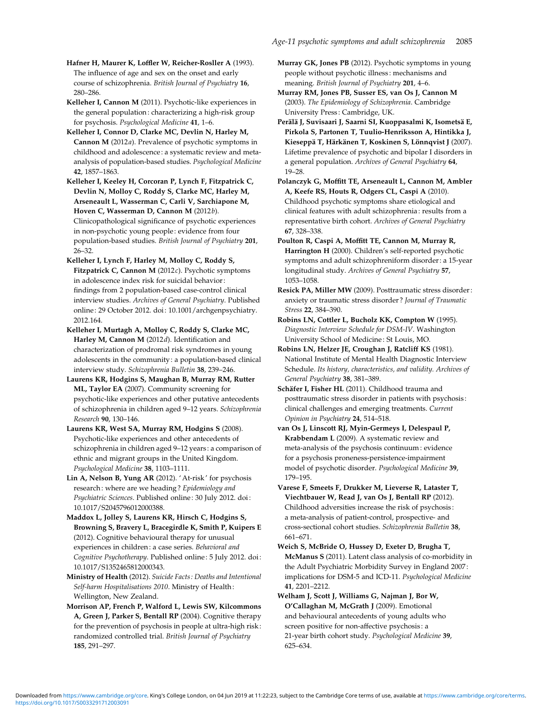Hafner H, Maurer K, Loffler W, Reicher-Rosller A (1993). The influence of age and sex on the onset and early course of schizophrenia. British Journal of Psychiatry 16, 280–286.

Kelleher I, Cannon M (2011). Psychotic-like experiences in the general population : characterizing a high-risk group for psychosis. Psychological Medicine 41, 1–6.

Kelleher I, Connor D, Clarke MC, Devlin N, Harley M, Cannon M (2012a). Prevalence of psychotic symptoms in childhood and adolescence : a systematic review and metaanalysis of population-based studies. Psychological Medicine 42, 1857–1863.

Kelleher I, Keeley H, Corcoran P, Lynch F, Fitzpatrick C, Devlin N, Molloy C, Roddy S, Clarke MC, Harley M, Arseneault L, Wasserman C, Carli V, Sarchiapone M, Hoven C, Wasserman D, Cannon M (2012b). Clinicopathological significance of psychotic experiences in non-psychotic young people : evidence from four population-based studies. British Journal of Psychiatry 201, 26–32.

Kelleher I, Lynch F, Harley M, Molloy C, Roddy S, Fitzpatrick C, Cannon M (2012c). Psychotic symptoms in adolescence index risk for suicidal behavior : findings from 2 population-based case-control clinical interview studies. Archives of General Psychiatry. Published online : 29 October 2012. doi : 10.1001/archgenpsychiatry. 2012.164.

Kelleher I, Murtagh A, Molloy C, Roddy S, Clarke MC, Harley M, Cannon M (2012d). Identification and characterization of prodromal risk syndromes in young adolescents in the community : a population-based clinical interview study. Schizophrenia Bulletin 38, 239–246.

Laurens KR, Hodgins S, Maughan B, Murray RM, Rutter ML, Taylor EA (2007). Community screening for psychotic-like experiences and other putative antecedents of schizophrenia in children aged 9–12 years. Schizophrenia Research 90, 130–146.

Laurens KR, West SA, Murray RM, Hodgins S (2008). Psychotic-like experiences and other antecedents of schizophrenia in children aged 9–12 years: a comparison of ethnic and migrant groups in the United Kingdom. Psychological Medicine 38, 1103–1111.

Lin A, Nelson B, Yung AR (2012). ' At-risk' for psychosis research : where are we heading ? Epidemiology and Psychiatric Sciences. Published online : 30 July 2012. doi : 10.1017/S2045796012000388.

Maddox L, Jolley S, Laurens KR, Hirsch C, Hodgins S, Browning S, Bravery L, Bracegirdle K, Smith P, Kuipers E (2012). Cognitive behavioural therapy for unusual experiences in children : a case series. Behavioral and Cognitive Psychotherapy. Published online : 5 July 2012. doi : 10.1017/S1352465812000343.

Ministry of Health (2012). Suicide Facts: Deaths and Intentional Self-harm Hospitalisations 2010. Ministry of Health : Wellington, New Zealand.

Morrison AP, French P, Walford L, Lewis SW, Kilcommons A, Green J, Parker S, Bentall RP (2004). Cognitive therapy for the prevention of psychosis in people at ultra-high risk : randomized controlled trial. British Journal of Psychiatry 185, 291–297.

Murray GK, Jones PB (2012). Psychotic symptoms in young people without psychotic illness : mechanisms and meaning. British Journal of Psychiatry 201, 4–6.

Murray RM, Jones PB, Susser ES, van Os J, Cannon M (2003). The Epidemiology of Schizophrenia. Cambridge University Press : Cambridge, UK.

Perälä J, Suvisaari J, Saarni SI, Kuoppasalmi K, Isometsä E, Pirkola S, Partonen T, Tuulio-Henriksson A, Hintikka J, Kieseppä T, Härkänen T, Koskinen S, Lönnqvist J (2007). Lifetime prevalence of psychotic and bipolar I disorders in a general population. Archives of General Psychiatry 64, 19–28.

Polanczyk G, Moffitt TE, Arseneault L, Cannon M, Ambler A, Keefe RS, Houts R, Odgers CL, Caspi A (2010). Childhood psychotic symptoms share etiological and clinical features with adult schizophrenia : results from a representative birth cohort. Archives of General Psychiatry 67, 328–338.

Poulton R, Caspi A, Moffitt TE, Cannon M, Murray R, Harrington H (2000). Children's self-reported psychotic symptoms and adult schizophreniform disorder : a 15-year longitudinal study. Archives of General Psychiatry 57, 1053–1058.

Resick PA, Miller MW (2009). Posttraumatic stress disorder : anxiety or traumatic stress disorder ? Journal of Traumatic Stress 22, 384–390.

Robins LN, Cottler L, Bucholz KK, Compton W (1995). Diagnostic Interview Schedule for DSM-IV. Washington University School of Medicine : St Louis, MO.

Robins LN, Helzer JE, Croughan J, Ratcliff KS (1981). National Institute of Mental Health Diagnostic Interview Schedule. Its history, characteristics, and validity. Archives of General Psychiatry 38, 381–389.

Schäfer I, Fisher HL (2011). Childhood trauma and posttraumatic stress disorder in patients with psychosis : clinical challenges and emerging treatments. Current Opinion in Psychiatry 24, 514–518.

van Os J, Linscott RJ, Myin-Germeys I, Delespaul P, Krabbendam L (2009). A systematic review and meta-analysis of the psychosis continuum : evidence for a psychosis proneness-persistence-impairment model of psychotic disorder. Psychological Medicine 39, 179–195.

Varese F, Smeets F, Drukker M, Lieverse R, Lataster T, Viechtbauer W, Read J, van Os J, Bentall RP (2012). Childhood adversities increase the risk of psychosis : a meta-analysis of patient-control, prospective- and cross-sectional cohort studies. Schizophrenia Bulletin 38, 661–671.

Weich S, McBride O, Hussey D, Exeter D, Brugha T, McManus S (2011). Latent class analysis of co-morbidity in the Adult Psychiatric Morbidity Survey in England 2007 : implications for DSM-5 and ICD-11. Psychological Medicine 41, 2201–2212.

Welham J, Scott J, Williams G, Najman J, Bor W, O'Callaghan M, McGrath J (2009). Emotional and behavioural antecedents of young adults who screen positive for non-affective psychosis : a 21-year birth cohort study. Psychological Medicine 39, 625–634.